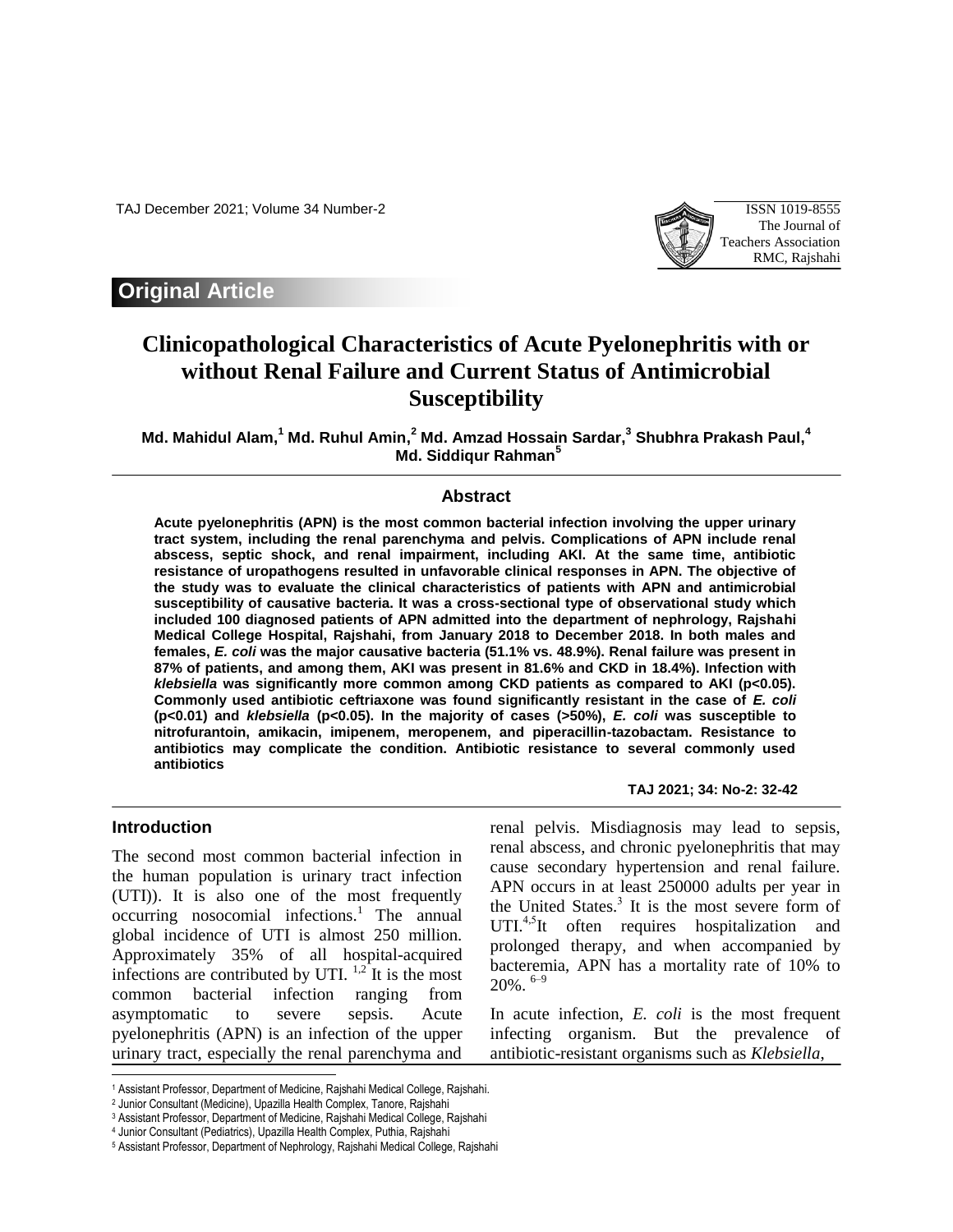TAJ December 2021; Volume 34 Number-2 ISSN 1019-8555



# **Original Article**

# **Clinicopathological Characteristics of Acute Pyelonephritis with or without Renal Failure and Current Status of Antimicrobial Susceptibility**

**Md. Mahidul Alam, <sup>1</sup> Md. Ruhul Amin, <sup>2</sup> Md. Amzad Hossain Sardar, 3 Shubhra Prakash Paul, 4 Md. Siddiqur Rahman<sup>5</sup>**

### **Abstract**

**Acute pyelonephritis (APN) is the most common bacterial infection involving the upper urinary tract system, including the renal parenchyma and pelvis. Complications of APN include renal abscess, septic shock, and renal impairment, including AKI. At the same time, antibiotic resistance of uropathogens resulted in unfavorable clinical responses in APN. The objective of the study was to evaluate the clinical characteristics of patients with APN and antimicrobial susceptibility of causative bacteria. It was a cross-sectional type of observational study which included 100 diagnosed patients of APN admitted into the department of nephrology, Rajshahi Medical College Hospital, Rajshahi, from January 2018 to December 2018. In both males and females,** *E. coli* **was the major causative bacteria (51.1% vs. 48.9%). Renal failure was present in 87% of patients, and among them, AKI was present in 81.6% and CKD in 18.4%). Infection with**  *klebsiella* was significantly more common among CKD patients as compared to AKI (p<0.05). **Commonly used antibiotic ceftriaxone was found significantly resistant in the case of** *E. coli* **(p<0.01) and** *klebsiella* **(p<0.05). In the majority of cases (>50%),** *E. coli* **was susceptible to nitrofurantoin, amikacin, imipenem, meropenem, and piperacillin-tazobactam. Resistance to antibiotics may complicate the condition. Antibiotic resistance to several commonly used antibiotics**

#### **Introduction**

 $\overline{\phantom{a}}$ 

The second most common bacterial infection in the human population is urinary tract infection (UTI)). It is also one of the most frequently  $occuring$  nosocomial infections.<sup>1</sup> The annual global incidence of UTI is almost 250 million. Approximately 35% of all hospital-acquired infections are contributed by UTI.  $^{1,2}$  It is the most common bacterial infection ranging from asymptomatic to severe sepsis. Acute pyelonephritis (APN) is an infection of the upper urinary tract, especially the renal parenchyma and

**TAJ 2021; 34: No-2: 32-42**

renal pelvis. Misdiagnosis may lead to sepsis, renal abscess, and chronic pyelonephritis that may cause secondary hypertension and renal failure. APN occurs in at least 250000 adults per year in the United States.<sup>3</sup> It is the most severe form of UTI.<sup>4,5</sup>It often requires hospitalization and prolonged therapy, and when accompanied by bacteremia, APN has a mortality rate of 10% to  $20\%$ .  $6-9$ 

In acute infection, *E. coli* is the most frequent infecting organism. But the prevalence of antibiotic-resistant organisms such as *Klebsiella*,

<sup>1</sup> Assistant Professor, Department of Medicine, Rajshahi Medical College, Rajshahi.

<sup>2</sup> Junior Consultant (Medicine), Upazilla Health Complex, Tanore, Rajshahi

<sup>3</sup> Assistant Professor, Department of Medicine, Rajshahi Medical College, Rajshahi

<sup>4</sup> Junior Consultant (Pediatrics), Upazilla Health Complex, Puthia, Rajshahi

<sup>5</sup> Assistant Professor, Department of Nephrology, Rajshahi Medical College, Rajshahi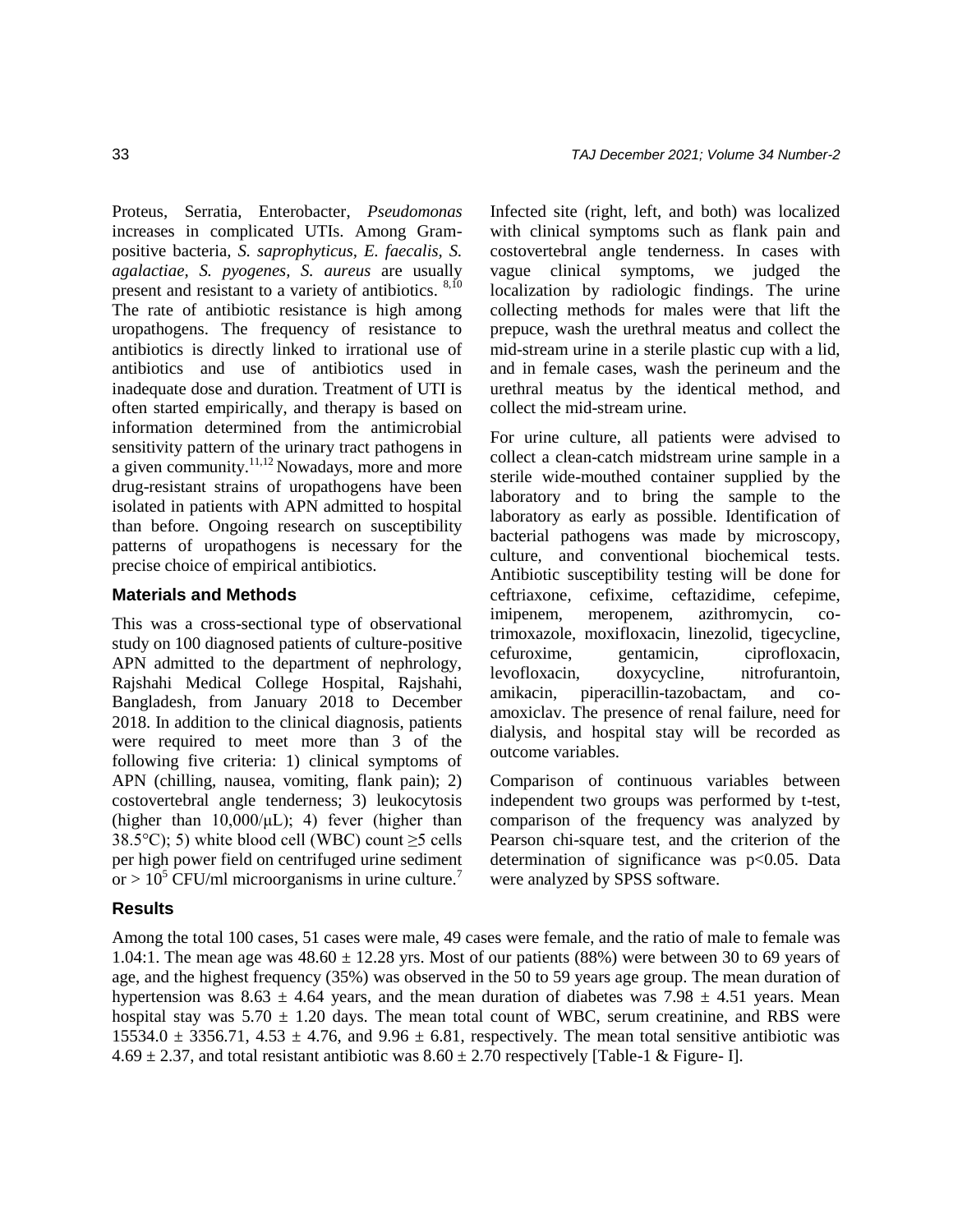Proteus, Serratia, Enterobacter, *Pseudomonas* increases in complicated UTIs. Among Grampositive bacteria*, S. saprophyticus, E. faecalis, S. agalactiae, S. pyogenes, S. aureus* are usually present and resistant to a variety of antibiotics.  $8,10$ The rate of antibiotic resistance is high among uropathogens. The frequency of resistance to antibiotics is directly linked to irrational use of antibiotics and use of antibiotics used in inadequate dose and duration. Treatment of UTI is often started empirically, and therapy is based on information determined from the antimicrobial sensitivity pattern of the urinary tract pathogens in a given community.<sup>11,12</sup> Nowadays, more and more drug-resistant strains of uropathogens have been isolated in patients with APN admitted to hospital than before. Ongoing research on susceptibility patterns of uropathogens is necessary for the precise choice of empirical antibiotics.

### **Materials and Methods**

This was a cross-sectional type of observational study on 100 diagnosed patients of culture-positive APN admitted to the department of nephrology, Rajshahi Medical College Hospital, Rajshahi, Bangladesh, from January 2018 to December 2018. In addition to the clinical diagnosis, patients were required to meet more than 3 of the following five criteria: 1) clinical symptoms of APN (chilling, nausea, vomiting, flank pain); 2) costovertebral angle tenderness; 3) leukocytosis (higher than  $10,000/\mu L$ ); 4) fever (higher than 38.5°C); 5) white blood cell (WBC) count  $\geq$ 5 cells per high power field on centrifuged urine sediment or  $> 10^5$  CFU/ml microorganisms in urine culture.<sup>7</sup>

Infected site (right, left, and both) was localized with clinical symptoms such as flank pain and costovertebral angle tenderness. In cases with vague clinical symptoms, we judged the localization by radiologic findings. The urine collecting methods for males were that lift the prepuce, wash the urethral meatus and collect the mid-stream urine in a sterile plastic cup with a lid, and in female cases, wash the perineum and the urethral meatus by the identical method, and collect the mid-stream urine.

For urine culture, all patients were advised to collect a clean-catch midstream urine sample in a sterile wide-mouthed container supplied by the laboratory and to bring the sample to the laboratory as early as possible. Identification of bacterial pathogens was made by microscopy, culture, and conventional biochemical tests. Antibiotic susceptibility testing will be done for ceftriaxone, cefixime, ceftazidime, cefepime, imipenem, meropenem, azithromycin, cotrimoxazole, moxifloxacin, linezolid, tigecycline, cefuroxime, gentamicin, ciprofloxacin, levofloxacin, doxycycline, nitrofurantoin, amikacin, piperacillin-tazobactam, and coamoxiclav. The presence of renal failure, need for dialysis, and hospital stay will be recorded as outcome variables.

Comparison of continuous variables between independent two groups was performed by t-test, comparison of the frequency was analyzed by Pearson chi-square test, and the criterion of the determination of significance was p<0.05. Data were analyzed by SPSS software.

## **Results**

Among the total 100 cases, 51 cases were male, 49 cases were female, and the ratio of male to female was 1.04:1. The mean age was  $48.60 \pm 12.28$  yrs. Most of our patients (88%) were between 30 to 69 years of age, and the highest frequency (35%) was observed in the 50 to 59 years age group. The mean duration of hypertension was 8.63  $\pm$  4.64 years, and the mean duration of diabetes was 7.98  $\pm$  4.51 years. Mean hospital stay was  $5.70 \pm 1.20$  days. The mean total count of WBC, serum creatinine, and RBS were 15534.0  $\pm$  3356.71, 4.53  $\pm$  4.76, and 9.96  $\pm$  6.81, respectively. The mean total sensitive antibiotic was  $4.69 \pm 2.37$ , and total resistant antibiotic was  $8.60 \pm 2.70$  respectively [Table-1 & Figure- I].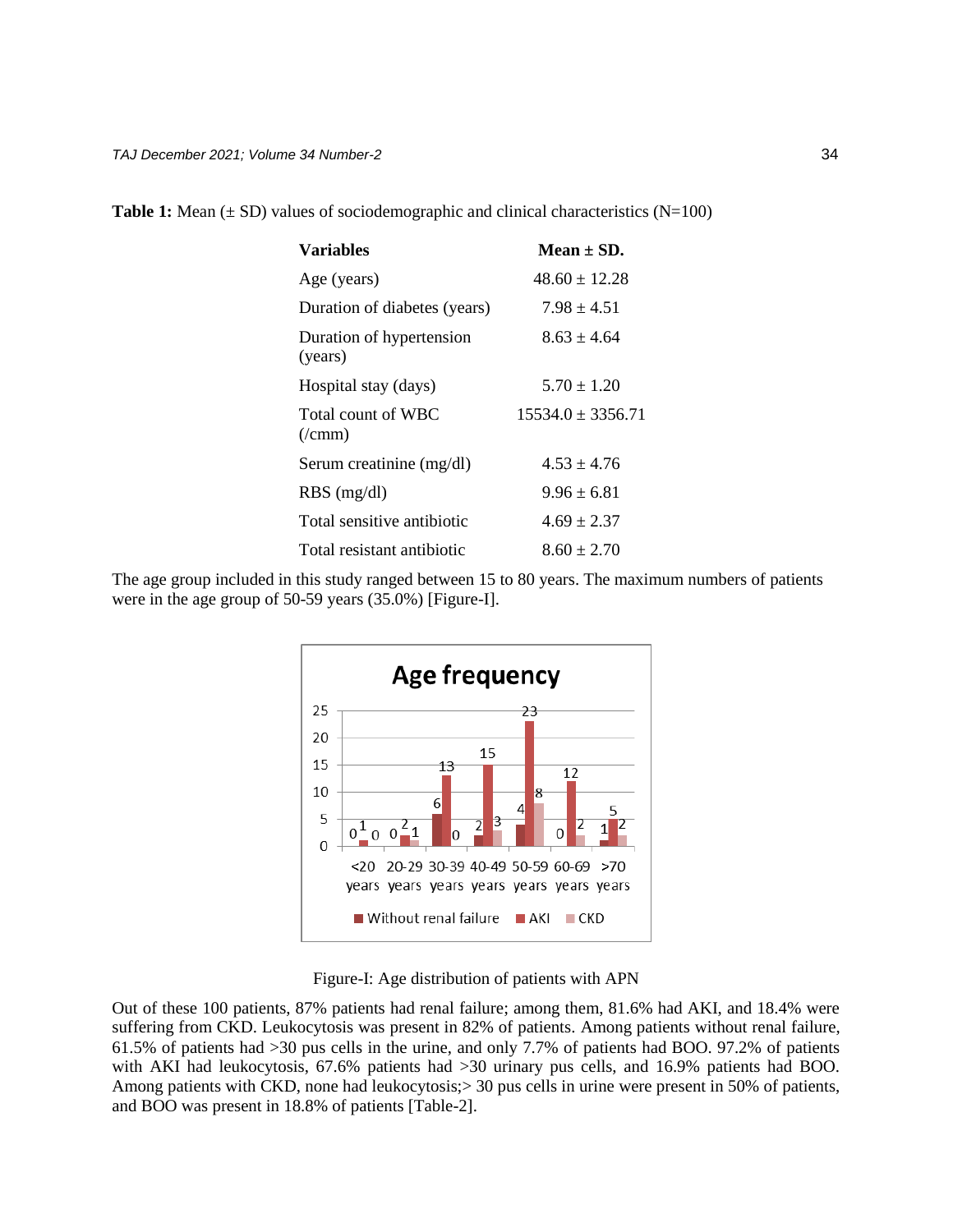| <b>Variables</b>                        | $Mean + SD.$          |
|-----------------------------------------|-----------------------|
| Age (years)                             | $48.60 \pm 12.28$     |
| Duration of diabetes (years)            | $7.98 \pm 4.51$       |
| Duration of hypertension<br>(years)     | $8.63 \pm 4.64$       |
| Hospital stay (days)                    | $5.70 \pm 1.20$       |
| Total count of WBC<br>$(\gamma$ cmm $)$ | $15534.0 \pm 3356.71$ |
| Serum creatinine (mg/dl)                | $4.53 \pm 4.76$       |
| $RBS$ (mg/dl)                           | $9.96 \pm 6.81$       |
| Total sensitive antibiotic              | $4.69 \pm 2.37$       |
| Total resistant antibiotic              | $8.60 \pm 2.70$       |

**Table 1:** Mean  $(\pm SD)$  values of sociodemographic and clinical characteristics (N=100)

The age group included in this study ranged between 15 to 80 years. The maximum numbers of patients were in the age group of 50-59 years (35.0%) [Figure-I].



Figure-I: Age distribution of patients with APN

Out of these 100 patients, 87% patients had renal failure; among them, 81.6% had AKI, and 18.4% were suffering from CKD. Leukocytosis was present in 82% of patients. Among patients without renal failure, 61.5% of patients had >30 pus cells in the urine, and only 7.7% of patients had BOO. 97.2% of patients with AKI had leukocytosis, 67.6% patients had >30 urinary pus cells, and 16.9% patients had BOO. Among patients with CKD, none had leukocytosis;  $> 30$  pus cells in urine were present in 50% of patients, and BOO was present in 18.8% of patients [Table-2].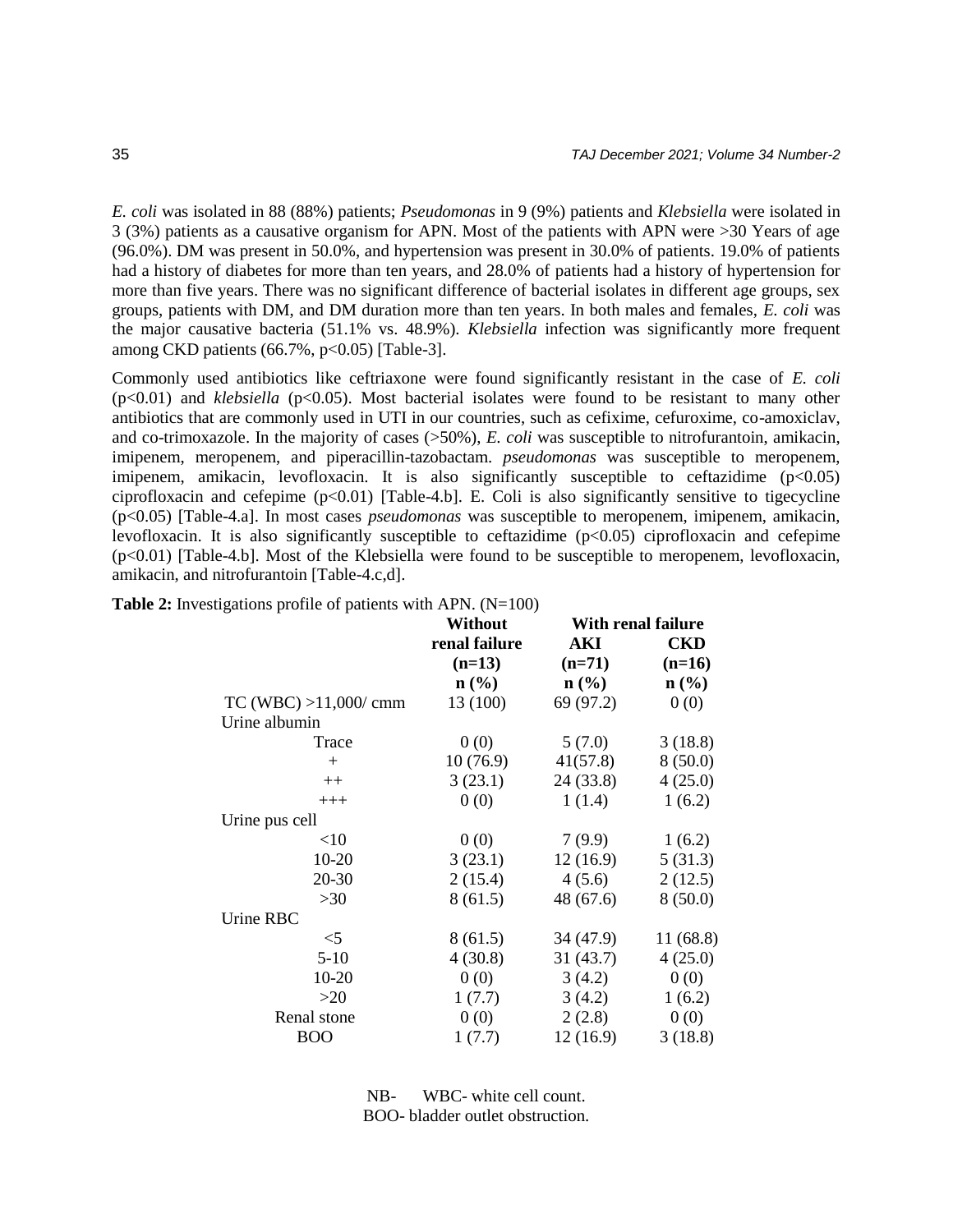*E. coli* was isolated in 88 (88%) patients; *Pseudomonas* in 9 (9%) patients and *Klebsiella* were isolated in 3 (3%) patients as a causative organism for APN. Most of the patients with APN were >30 Years of age (96.0%). DM was present in 50.0%, and hypertension was present in 30.0% of patients. 19.0% of patients had a history of diabetes for more than ten years, and 28.0% of patients had a history of hypertension for more than five years. There was no significant difference of bacterial isolates in different age groups, sex groups, patients with DM, and DM duration more than ten years. In both males and females, *E. coli* was the major causative bacteria (51.1% vs. 48.9%). *Klebsiella* infection was significantly more frequent among CKD patients  $(66.7\%, p<0.05)$  [Table-3].

Commonly used antibiotics like ceftriaxone were found significantly resistant in the case of *E. coli*  $(p<0.01)$  and *klebsiella* ( $p<0.05$ ). Most bacterial isolates were found to be resistant to many other antibiotics that are commonly used in UTI in our countries, such as cefixime, cefuroxime, co-amoxiclav, and co-trimoxazole. In the majority of cases (>50%), *E. coli* was susceptible to nitrofurantoin, amikacin, imipenem, meropenem, and piperacillin-tazobactam. *pseudomonas* was susceptible to meropenem, imipenem, amikacin, levofloxacin. It is also significantly susceptible to ceftazidime  $(p<0.05)$ ciprofloxacin and cefepime  $(p<0.01)$  [Table-4.b]. E. Coli is also significantly sensitive to tigecycline (p<0.05) [Table-4.a]. In most cases *pseudomonas* was susceptible to meropenem, imipenem, amikacin, levofloxacin. It is also significantly susceptible to ceftazidime (p<0.05) ciprofloxacin and cefepime (p<0.01) [Table-4.b]. Most of the Klebsiella were found to be susceptible to meropenem, levofloxacin, amikacin, and nitrofurantoin [Table-4.c,d].

|                       | Without          | <b>With renal failure</b> |            |  |
|-----------------------|------------------|---------------------------|------------|--|
|                       | renal failure    | AKI                       | <b>CKD</b> |  |
|                       | $(n=13)$         | $(n=71)$                  | $(n=16)$   |  |
|                       | $\mathbf{n}(\%)$ | $\mathbf{n}(\%)$          | $n$ (%)    |  |
| TC (WBC) > 11,000/cmm | 13 (100)         | 69 (97.2)                 | 0(0)       |  |
| Urine albumin         |                  |                           |            |  |
| Trace                 | 0(0)             | 5(7.0)                    | 3(18.8)    |  |
| $+$                   | 10(76.9)         | 41(57.8)                  | 8(50.0)    |  |
| $++$                  | 3(23.1)          | 24 (33.8)                 | 4(25.0)    |  |
| $+++$                 | 0(0)             | 1(1.4)                    | 1(6.2)     |  |
| Urine pus cell        |                  |                           |            |  |
| <10                   | 0(0)             | 7(9.9)                    | 1(6.2)     |  |
| $10 - 20$             | 3(23.1)          | 12(16.9)                  | 5(31.3)    |  |
| 20-30                 | 2(15.4)          | 4(5.6)                    | 2(12.5)    |  |
| >30                   | 8(61.5)          | 48 (67.6)                 | 8(50.0)    |  |
| Urine RBC             |                  |                           |            |  |
| $<$ 5                 | 8(61.5)          | 34(47.9)                  | 11 (68.8)  |  |
| $5-10$                | 4(30.8)          | 31(43.7)                  | 4(25.0)    |  |
| $10-20$               | 0(0)             | 3(4.2)                    | 0(0)       |  |
| $>20$                 | 1(7.7)           | 3(4.2)                    | 1(6.2)     |  |
| Renal stone           | 0(0)             | 2(2.8)                    | 0(0)       |  |
| <b>BOO</b>            | 1(7.7)           | 12(16.9)                  | 3(18.8)    |  |
|                       |                  |                           |            |  |

**Table 2:** Investigations profile of patients with APN. (N=100)

NB- WBC- white cell count. BOO- bladder outlet obstruction.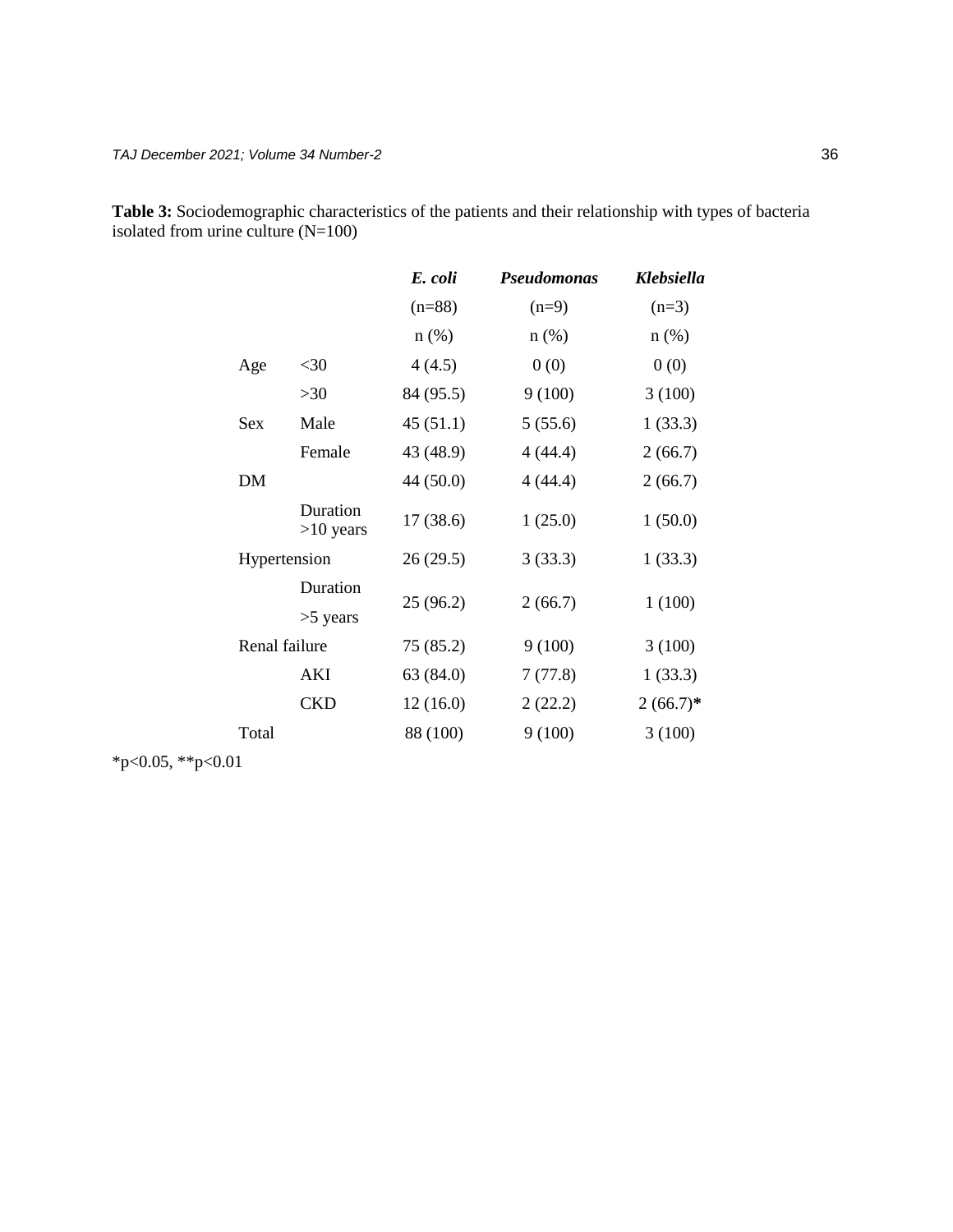**Table 3:** Sociodemographic characteristics of the patients and their relationship with types of bacteria isolated from urine culture (N=100)

|               |                         | E. coli   | <b>Pseudomonas</b> | Klebsiella  |
|---------------|-------------------------|-----------|--------------------|-------------|
|               |                         | $(n=88)$  | $(n=9)$            | $(n=3)$     |
|               |                         | $n$ (%)   | $n$ (%)            | $n$ (%)     |
| Age           | $<$ 30                  | 4(4.5)    | 0(0)               | 0(0)        |
|               | >30                     | 84 (95.5) | 9(100)             | 3(100)      |
| <b>Sex</b>    | Male                    | 45(51.1)  | 5(55.6)            | 1(33.3)     |
|               | Female                  | 43 (48.9) | 4(44.4)            | 2(66.7)     |
| <b>DM</b>     |                         | 44 (50.0) | 4 (44.4)           | 2(66.7)     |
|               | Duration<br>$>10$ years | 17(38.6)  | 1(25.0)            | 1(50.0)     |
| Hypertension  |                         | 26(29.5)  | 3(33.3)            | 1(33.3)     |
|               | Duration<br>$>5$ years  | 25(96.2)  | 2(66.7)            | 1(100)      |
| Renal failure |                         | 75 (85.2) | 9(100)             | 3(100)      |
|               | AKI                     | 63 (84.0) | 7(77.8)            | 1(33.3)     |
|               | <b>CKD</b>              | 12(16.0)  | 2(22.2)            | $2(66.7)^*$ |
| Total         |                         | 88 (100)  | 9(100)             | 3(100)      |
|               |                         |           |                    |             |

\*p<0.05, \*\*p<0.01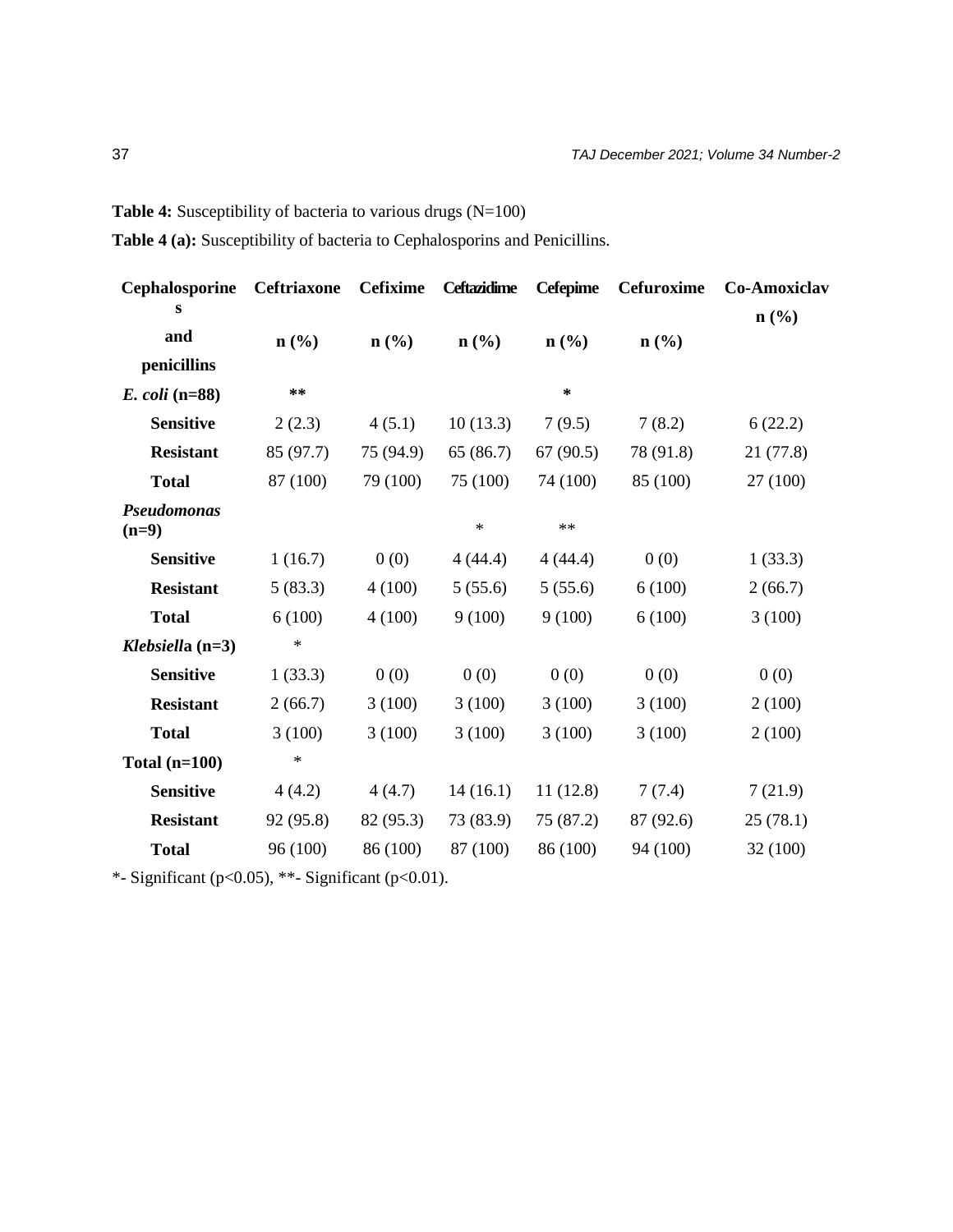**Table 4:** Susceptibility of bacteria to various drugs (N=100)

**Table 4 (a):** Susceptibility of bacteria to Cephalosporins and Penicillins.

| <b>Ceftriaxone</b>          | <b>Cefixime</b>             | <b>Ceftazidime</b>          | <b>Cefepime</b>             | Cefuroxime                  | Co-Amoxiclav                |
|-----------------------------|-----------------------------|-----------------------------|-----------------------------|-----------------------------|-----------------------------|
|                             |                             |                             |                             |                             | $n\left(\frac{0}{0}\right)$ |
| $n\left(\frac{6}{6}\right)$ | $n\left(\frac{0}{0}\right)$ | $n\left(\frac{9}{6}\right)$ | $n\left(\frac{0}{0}\right)$ | $n\left(\frac{0}{0}\right)$ |                             |
|                             |                             |                             |                             |                             |                             |
| **                          |                             |                             | $\ast$                      |                             |                             |
| 2(2.3)                      | 4(5.1)                      | 10(13.3)                    | 7(9.5)                      | 7(8.2)                      | 6(22.2)                     |
| 85 (97.7)                   | 75 (94.9)                   | 65(86.7)                    | 67(90.5)                    | 78 (91.8)                   | 21(77.8)                    |
| 87 (100)                    | 79 (100)                    | 75 (100)                    | 74 (100)                    | 85 (100)                    | 27 (100)                    |
|                             |                             | $\ast$                      | $\ast\ast$                  |                             |                             |
| 1(16.7)                     | 0(0)                        | 4(44.4)                     | 4(44.4)                     | 0(0)                        | 1(33.3)                     |
| 5(83.3)                     | 4(100)                      | 5(55.6)                     | 5(55.6)                     | 6(100)                      | 2(66.7)                     |
| 6(100)                      | 4(100)                      | 9(100)                      | 9(100)                      | 6(100)                      | 3(100)                      |
| $\ast$                      |                             |                             |                             |                             |                             |
| 1(33.3)                     | 0(0)                        | 0(0)                        | 0(0)                        | 0(0)                        | 0(0)                        |
| 2(66.7)                     | 3(100)                      | 3(100)                      | 3(100)                      | 3(100)                      | 2(100)                      |
| 3(100)                      | 3(100)                      | 3(100)                      | 3(100)                      | 3(100)                      | 2(100)                      |
| $\ast$                      |                             |                             |                             |                             |                             |
| 4(4.2)                      | 4(4.7)                      | 14(16.1)                    | 11(12.8)                    | 7(7.4)                      | 7(21.9)                     |
| 92 (95.8)                   | 82 (95.3)                   | 73 (83.9)                   | 75 (87.2)                   | 87 (92.6)                   | 25(78.1)                    |
| 96 (100)                    | 86 (100)                    | 87 (100)                    | 86 (100)                    | 94 (100)                    | 32 (100)                    |
|                             |                             |                             |                             |                             |                             |

\*- Significant (p<0.05), \*\*- Significant (p<0.01).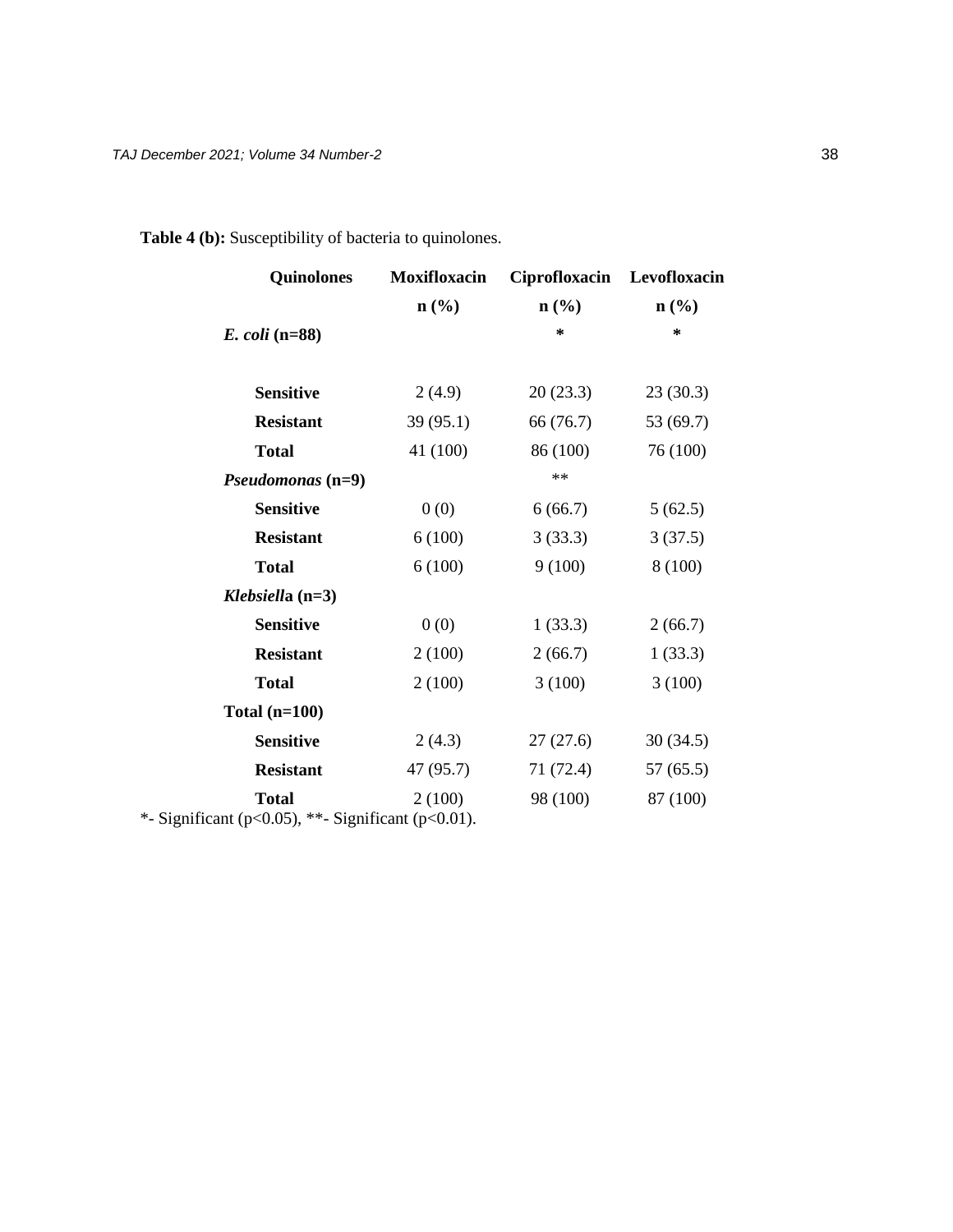| <b>Quinolones</b>                                                          | <b>Moxifloxacin</b> | Ciprofloxacin    | Levofloxacin     |
|----------------------------------------------------------------------------|---------------------|------------------|------------------|
|                                                                            | $\mathbf{n}(\%)$    | $\mathbf{n}(\%)$ | $\mathbf{n}(\%)$ |
| <i>E. coli</i> (n=88)                                                      |                     | ∗                | *                |
| <b>Sensitive</b>                                                           | 2(4.9)              | 20(23.3)         | 23(30.3)         |
| <b>Resistant</b>                                                           | 39(95.1)            | 66 (76.7)        | 53 (69.7)        |
| <b>Total</b>                                                               | 41 (100)            | 86 (100)         | 76 (100)         |
| Pseudomonas (n=9)                                                          |                     | $\ast\ast$       |                  |
| <b>Sensitive</b>                                                           | 0(0)                | 6(66.7)          | 5(62.5)          |
| <b>Resistant</b>                                                           | 6(100)              | 3(33.3)          | 3(37.5)          |
| <b>Total</b>                                                               | 6(100)              | 9(100)           | 8 (100)          |
| Klebsiella $(n=3)$                                                         |                     |                  |                  |
| <b>Sensitive</b>                                                           | 0(0)                | 1(33.3)          | 2(66.7)          |
| <b>Resistant</b>                                                           | 2(100)              | 2(66.7)          | 1(33.3)          |
| <b>Total</b>                                                               | 2(100)              | 3(100)           | 3(100)           |
| Total $(n=100)$                                                            |                     |                  |                  |
| <b>Sensitive</b>                                                           | 2(4.3)              | 27(27.6)         | 30(34.5)         |
| <b>Resistant</b>                                                           | 47 (95.7)           | 71 (72.4)        | 57(65.5)         |
| <b>Total</b><br>*- Significant ( $p<0.05$ ), **- Significant ( $p<0.01$ ). | 2(100)              | 98 (100)         | 87 (100)         |

# **Table 4 (b):** Susceptibility of bacteria to quinolones.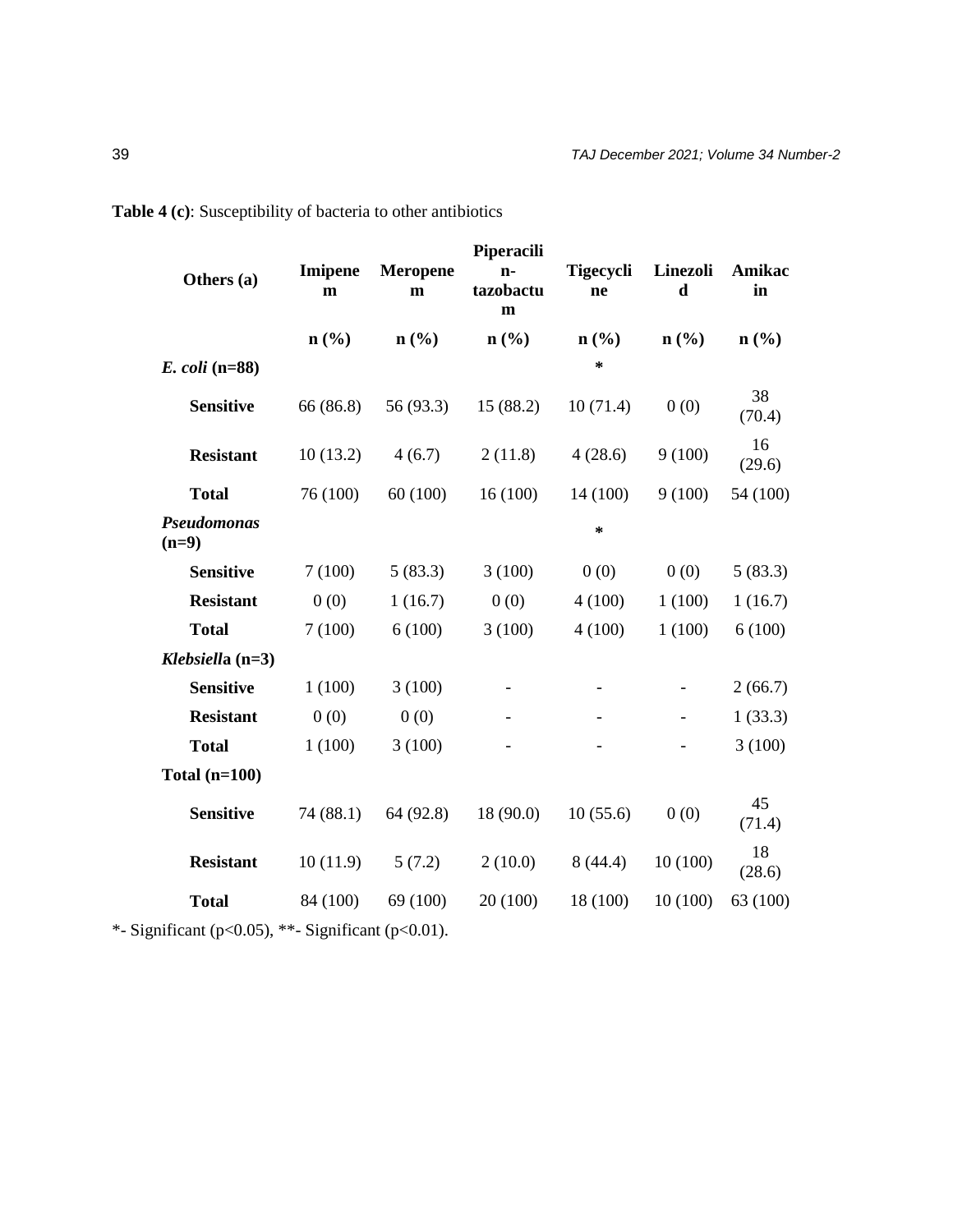| Others (a)             | <b>Imipene</b><br>$\mathbf m$ | <b>Meropene</b><br>m        | Piperacili<br>$n-$<br>tazobactu<br>$\mathbf m$ | <b>Tigecycli</b><br>ne      | Linezoli<br>$\mathbf d$     | Amikac<br>in     |
|------------------------|-------------------------------|-----------------------------|------------------------------------------------|-----------------------------|-----------------------------|------------------|
|                        | $n\left(\frac{0}{0}\right)$   | $n\left(\frac{0}{0}\right)$ | n(%)                                           | $n\left(\frac{9}{6}\right)$ | $n\left(\frac{0}{0}\right)$ | $\mathbf{n}(\%)$ |
| $E.$ coli (n=88)       |                               |                             |                                                | $\ast$                      |                             |                  |
| <b>Sensitive</b>       | 66 (86.8)                     | 56 (93.3)                   | 15(88.2)                                       | 10(71.4)                    | 0(0)                        | 38<br>(70.4)     |
| <b>Resistant</b>       | 10(13.2)                      | 4(6.7)                      | 2(11.8)                                        | 4(28.6)                     | 9(100)                      | 16<br>(29.6)     |
| <b>Total</b>           | 76 (100)                      | 60(100)                     | 16(100)                                        | 14(100)                     | 9(100)                      | 54 (100)         |
| Pseudomonas<br>$(n=9)$ |                               |                             |                                                | *                           |                             |                  |
| <b>Sensitive</b>       | 7(100)                        | 5(83.3)                     | 3(100)                                         | 0(0)                        | 0(0)                        | 5(83.3)          |
| <b>Resistant</b>       | 0(0)                          | 1(16.7)                     | 0(0)                                           | 4(100)                      | 1(100)                      | 1(16.7)          |
| <b>Total</b>           | 7(100)                        | 6(100)                      | 3(100)                                         | 4(100)                      | 1(100)                      | 6(100)           |
| Klebsiella $(n=3)$     |                               |                             |                                                |                             |                             |                  |
| <b>Sensitive</b>       | 1(100)                        | 3(100)                      |                                                |                             |                             | 2(66.7)          |
| <b>Resistant</b>       | 0(0)                          | 0(0)                        |                                                |                             |                             | 1(33.3)          |
| <b>Total</b>           | 1(100)                        | 3(100)                      |                                                |                             |                             | 3(100)           |
| Total $(n=100)$        |                               |                             |                                                |                             |                             |                  |
| <b>Sensitive</b>       | 74 (88.1)                     | 64 (92.8)                   | 18 (90.0)                                      | 10(55.6)                    | 0(0)                        | 45<br>(71.4)     |
| <b>Resistant</b>       | 10(11.9)                      | 5(7.2)                      | 2(10.0)                                        | 8(44.4)                     | 10(100)                     | 18<br>(28.6)     |
| <b>Total</b>           | 84 (100)                      | 69 (100)                    | 20 (100)                                       | 18 (100)                    | 10(100)                     | 63 (100)         |
|                        |                               |                             |                                                |                             |                             |                  |

**Table 4 (c)**: Susceptibility of bacteria to other antibiotics

\*- Significant (p<0.05), \*\*- Significant (p<0.01).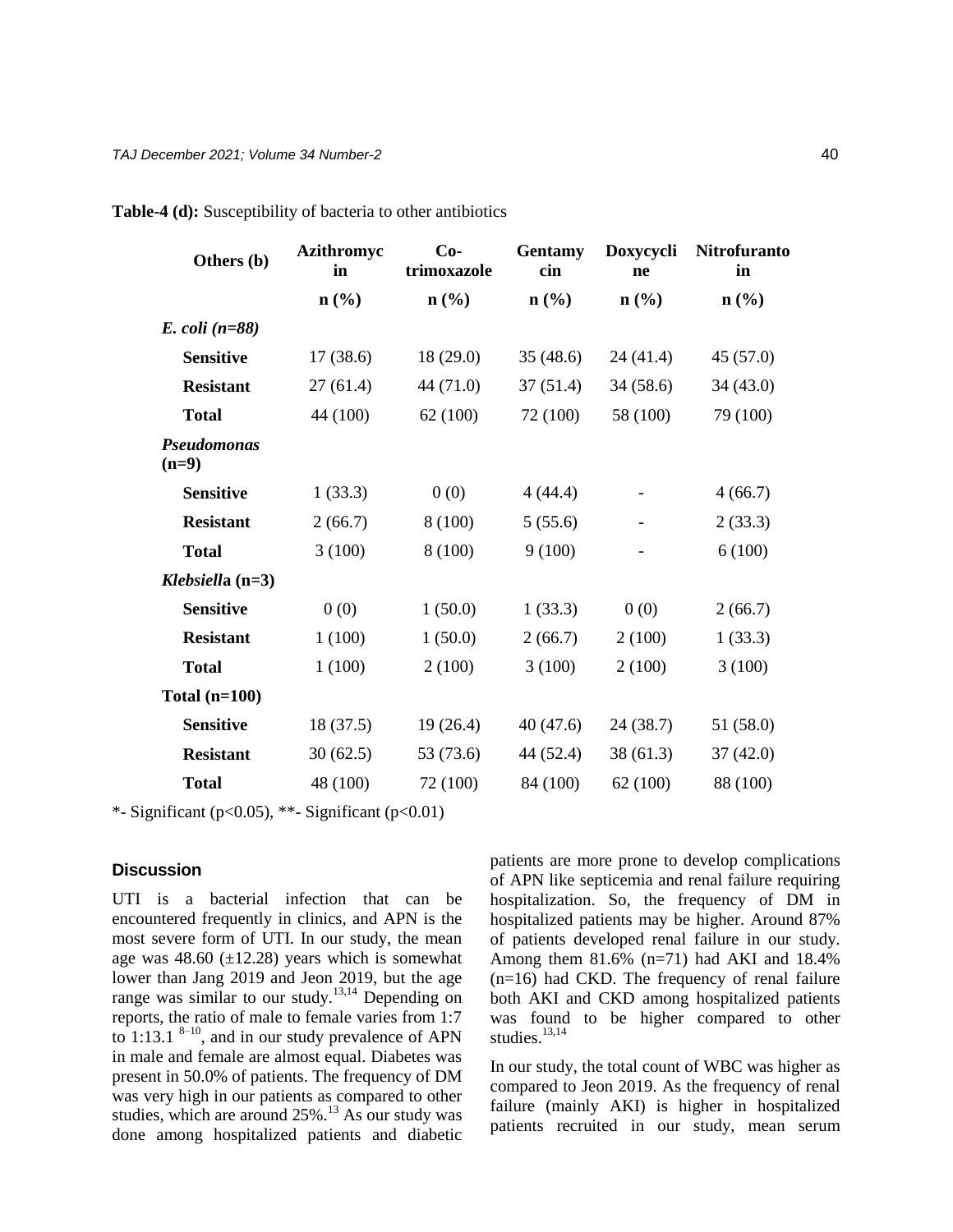| Others (b)                    | Azithromyc<br>in | $Co-$<br>trimoxazole        | Gentamy<br>cin              | Doxycycli<br>ne             | Nitrofuranto<br>in          |
|-------------------------------|------------------|-----------------------------|-----------------------------|-----------------------------|-----------------------------|
|                               | $\mathbf{n}(\%)$ | $n\left(\frac{0}{0}\right)$ | $n\left(\frac{6}{6}\right)$ | $n\left(\frac{9}{6}\right)$ | $n\left(\frac{0}{0}\right)$ |
| $E.$ coli (n=88)              |                  |                             |                             |                             |                             |
| <b>Sensitive</b>              | 17(38.6)         | 18 (29.0)                   | 35(48.6)                    | 24(41.4)                    | 45 (57.0)                   |
| <b>Resistant</b>              | 27(61.4)         | 44 (71.0)                   | 37(51.4)                    | 34(58.6)                    | 34 (43.0)                   |
| <b>Total</b>                  | 44 (100)         | 62(100)                     | 72 (100)                    | 58 (100)                    | 79 (100)                    |
| <b>Pseudomonas</b><br>$(n=9)$ |                  |                             |                             |                             |                             |
| <b>Sensitive</b>              | 1(33.3)          | 0(0)                        | 4(44.4)                     | $\overline{\phantom{a}}$    | 4(66.7)                     |
| <b>Resistant</b>              | 2(66.7)          | 8 (100)                     | 5(55.6)                     | $\overline{\phantom{a}}$    | 2(33.3)                     |
| <b>Total</b>                  | 3(100)           | 8(100)                      | 9(100)                      | $\overline{\phantom{0}}$    | 6(100)                      |
| Klebsiella $(n=3)$            |                  |                             |                             |                             |                             |
| <b>Sensitive</b>              | 0(0)             | 1(50.0)                     | 1(33.3)                     | 0(0)                        | 2(66.7)                     |
| <b>Resistant</b>              | 1(100)           | 1(50.0)                     | 2(66.7)                     | 2(100)                      | 1(33.3)                     |
| <b>Total</b>                  | 1(100)           | 2(100)                      | 3(100)                      | 2(100)                      | 3(100)                      |
| Total $(n=100)$               |                  |                             |                             |                             |                             |
| <b>Sensitive</b>              | 18 (37.5)        | 19(26.4)                    | 40(47.6)                    | 24(38.7)                    | 51 (58.0)                   |
| <b>Resistant</b>              | 30(62.5)         | 53 (73.6)                   | 44 (52.4)                   | 38 (61.3)                   | 37(42.0)                    |
| <b>Total</b>                  | 48 (100)         | 72 (100)                    | 84 (100)                    | 62(100)                     | 88 (100)                    |

**Table-4 (d):** Susceptibility of bacteria to other antibiotics

\*- Significant (p<0.05), \*\*- Significant (p<0.01)

## **Discussion**

UTI is a bacterial infection that can be encountered frequently in clinics, and APN is the most severe form of UTI. In our study, the mean age was  $48.60$  ( $\pm$ 12.28) years which is somewhat lower than Jang 2019 and Jeon 2019, but the age range was similar to our study.<sup>13,14</sup> Depending on reports, the ratio of male to female varies from 1:7 to 1:13.1  $8-10$ , and in our study prevalence of APN in male and female are almost equal. Diabetes was present in 50.0% of patients. The frequency of DM was very high in our patients as compared to other studies, which are around  $25\%$ .<sup>13</sup> As our study was done among hospitalized patients and diabetic

patients are more prone to develop complications of APN like septicemia and renal failure requiring hospitalization. So, the frequency of DM in hospitalized patients may be higher. Around 87% of patients developed renal failure in our study. Among them  $81.6\%$  (n=71) had AKI and 18.4%  $(n=16)$  had CKD. The frequency of renal failure both AKI and CKD among hospitalized patients was found to be higher compared to other studies. $13,14$ 

In our study, the total count of WBC was higher as compared to Jeon 2019. As the frequency of renal failure (mainly AKI) is higher in hospitalized patients recruited in our study, mean serum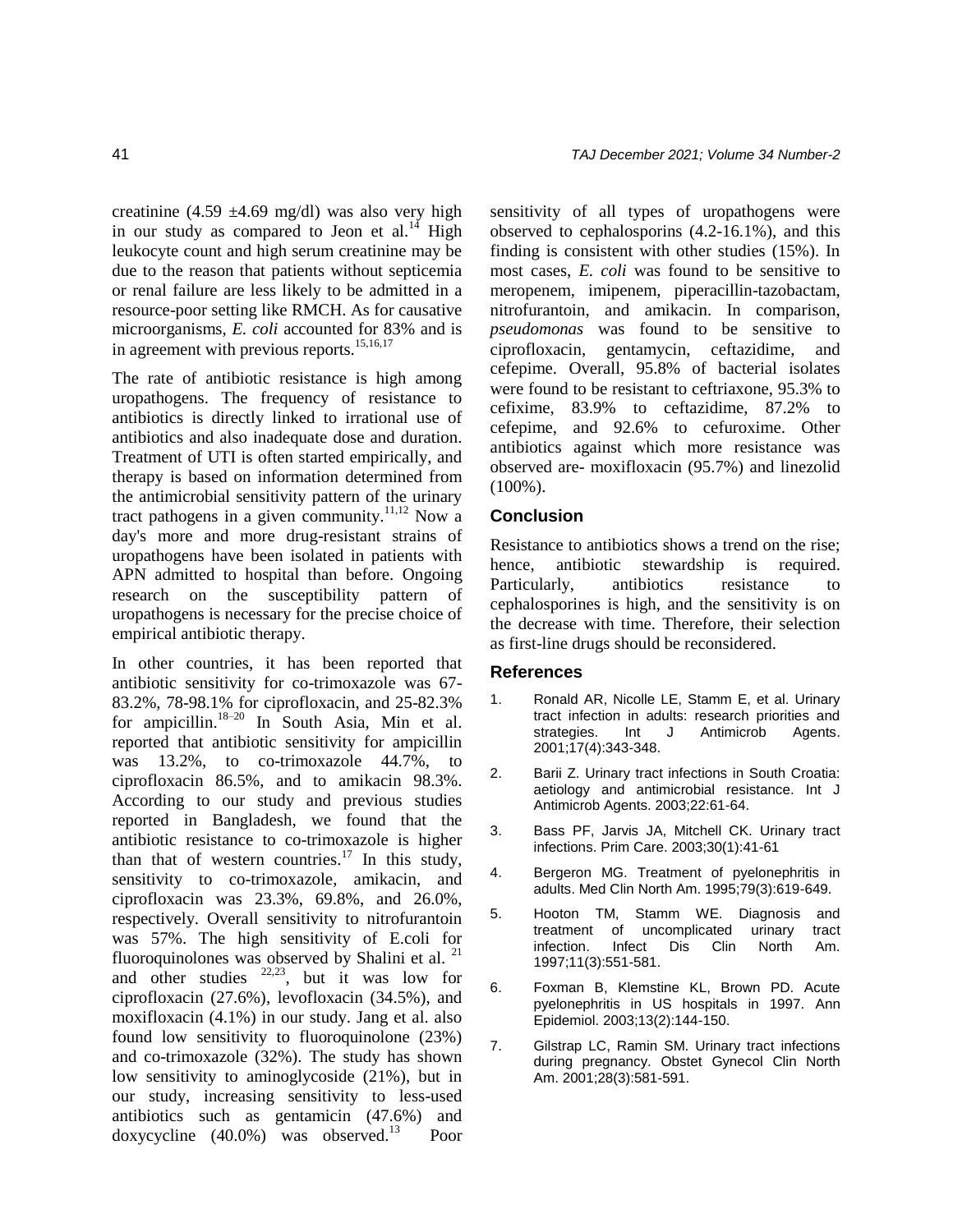creatinine (4.59  $\pm$ 4.69 mg/dl) was also very high in our study as compared to Jeon et al. $14$  High leukocyte count and high serum creatinine may be due to the reason that patients without septicemia or renal failure are less likely to be admitted in a resource-poor setting like RMCH. As for causative microorganisms, *E. coli* accounted for 83% and is in agreement with previous reports.<sup>15,16,17</sup>

The rate of antibiotic resistance is high among uropathogens. The frequency of resistance to antibiotics is directly linked to irrational use of antibiotics and also inadequate dose and duration. Treatment of UTI is often started empirically, and therapy is based on information determined from the antimicrobial sensitivity pattern of the urinary tract pathogens in a given community.<sup>11,12</sup> Now a day's more and more drug-resistant strains of uropathogens have been isolated in patients with APN admitted to hospital than before. Ongoing research on the susceptibility pattern of uropathogens is necessary for the precise choice of empirical antibiotic therapy.

In other countries, it has been reported that antibiotic sensitivity for co-trimoxazole was 67- 83.2%, 78-98.1% for ciprofloxacin, and 25-82.3% for ampicillin.18–20 In South Asia, Min et al. reported that antibiotic sensitivity for ampicillin was 13.2%, to co-trimoxazole 44.7%, to ciprofloxacin 86.5%, and to amikacin 98.3%. According to our study and previous studies reported in Bangladesh, we found that the antibiotic resistance to co-trimoxazole is higher than that of western countries.<sup>17</sup> In this study, sensitivity to co-trimoxazole, amikacin, and ciprofloxacin was 23.3%, 69.8%, and 26.0%, respectively. Overall sensitivity to nitrofurantoin was 57%. The high sensitivity of E.coli for fluoroquinolones was observed by Shalini et al.  $21$ and other studies  $22,23$ , but it was low for ciprofloxacin (27.6%), levofloxacin (34.5%), and moxifloxacin (4.1%) in our study. Jang et al. also found low sensitivity to fluoroquinolone (23%) and co-trimoxazole (32%). The study has shown low sensitivity to aminoglycoside (21%), but in our study, increasing sensitivity to less-used antibiotics such as gentamicin (47.6%) and doxycycline  $(40.0\%)$  was observed.<sup>13</sup> Poor

sensitivity of all types of uropathogens were observed to cephalosporins (4.2-16.1%), and this finding is consistent with other studies (15%). In most cases, *E. coli* was found to be sensitive to meropenem, imipenem, piperacillin-tazobactam, nitrofurantoin, and amikacin. In comparison, *pseudomonas* was found to be sensitive to ciprofloxacin, gentamycin, ceftazidime, and cefepime. Overall, 95.8% of bacterial isolates were found to be resistant to ceftriaxone, 95.3% to cefixime, 83.9% to ceftazidime, 87.2% to cefepime, and 92.6% to cefuroxime. Other antibiotics against which more resistance was observed are- moxifloxacin (95.7%) and linezolid (100%).

#### **Conclusion**

Resistance to antibiotics shows a trend on the rise; hence, antibiotic stewardship is required. Particularly, antibiotics resistance to cephalosporines is high, and the sensitivity is on the decrease with time. Therefore, their selection as first-line drugs should be reconsidered.

#### **References**

- 1. Ronald AR, Nicolle LE, Stamm E, et al. Urinary tract infection in adults: research priorities and strategies. Int J Antimicrob Agents. 2001;17(4):343-348.
- 2. Barii Z. Urinary tract infections in South Croatia: aetiology and antimicrobial resistance. Int J Antimicrob Agents. 2003;22:61-64.
- 3. Bass PF, Jarvis JA, Mitchell CK. Urinary tract infections. Prim Care. 2003;30(1):41-61
- 4. Bergeron MG. Treatment of pyelonephritis in adults. Med Clin North Am. 1995;79(3):619-649.
- 5. Hooton TM, Stamm WE. Diagnosis and treatment of uncomplicated urinary tract infection. Infect Dis Clin North Am. 1997;11(3):551-581.
- 6. Foxman B, Klemstine KL, Brown PD. Acute pyelonephritis in US hospitals in 1997. Ann Epidemiol. 2003;13(2):144-150.
- 7. Gilstrap LC, Ramin SM. Urinary tract infections during pregnancy. Obstet Gynecol Clin North Am. 2001;28(3):581-591.